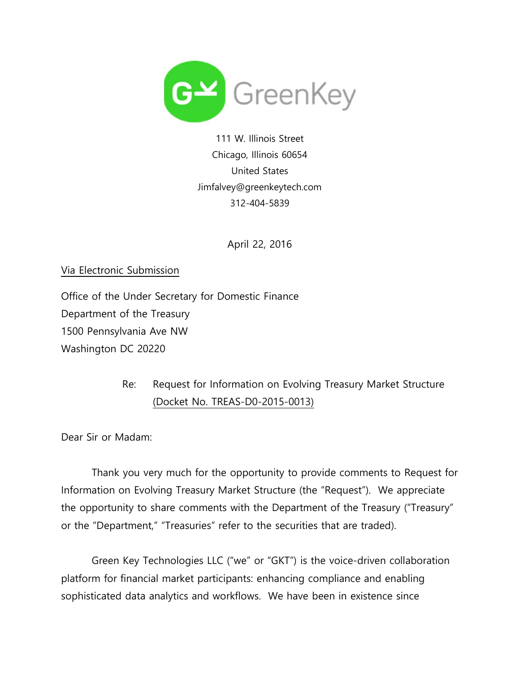

111 W. Illinois Street Chicago, Illinois 60654 United States Jimfalvey@greenkeytech.com 312-404-5839

April 22, 2016

Via Electronic Submission

Office of the Under Secretary for Domestic Finance Department of the Treasury 1500 Pennsylvania Ave NW Washington DC 20220

## Re: Request for Information on Evolving Treasury Market Structure (Docket No. TREAS-D0-2015-0013)

Dear Sir or Madam:

 Thank you very much for the opportunity to provide comments to Request for Information on Evolving Treasury Market Structure (the "Request"). We appreciate the opportunity to share comments with the Department of the Treasury ("Treasury" or the "Department," "Treasuries" refer to the securities that are traded).

 Green Key Technologies LLC ("we" or "GKT") is the voice-driven collaboration platform for financial market participants: enhancing compliance and enabling sophisticated data analytics and workflows. We have been in existence since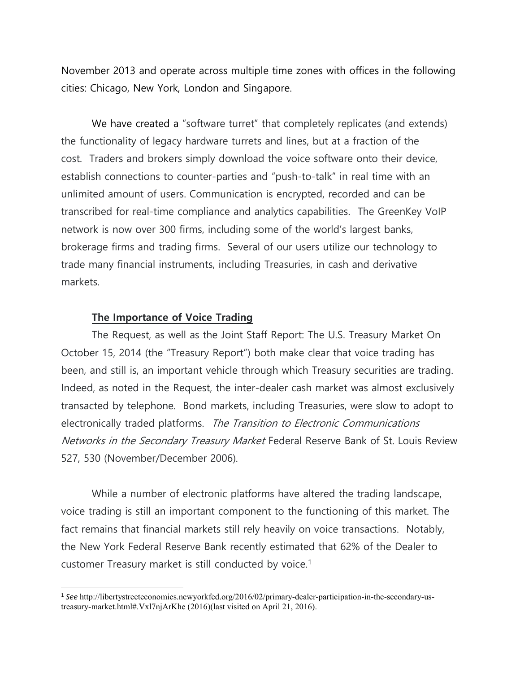November 2013 and operate across multiple time zones with offices in the following cities: Chicago, New York, London and Singapore.

We have created a "software turret" that completely replicates (and extends) the functionality of legacy hardware turrets and lines, but at a fraction of the cost. Traders and brokers simply download the voice software onto their device, establish connections to counter-parties and "push-to-talk" in real time with an unlimited amount of users. Communication is encrypted, recorded and can be transcribed for real-time compliance and analytics capabilities. The GreenKey VoIP network is now over 300 firms, including some of the world's largest banks, brokerage firms and trading firms. Several of our users utilize our technology to trade many financial instruments, including Treasuries, in cash and derivative markets.

## The Importance of Voice Trading

 $\overline{a}$ 

 The Request, as well as the Joint Staff Report: The U.S. Treasury Market On October 15, 2014 (the "Treasury Report") both make clear that voice trading has been, and still is, an important vehicle through which Treasury securities are trading. Indeed, as noted in the Request, the inter-dealer cash market was almost exclusively transacted by telephone. Bond markets, including Treasuries, were slow to adopt to electronically traded platforms. The Transition to Electronic Communications Networks in the Secondary Treasury Market Federal Reserve Bank of St. Louis Review 527, 530 (November/December 2006).

 While a number of electronic platforms have altered the trading landscape, voice trading is still an important component to the functioning of this market. The fact remains that financial markets still rely heavily on voice transactions. Notably, the New York Federal Reserve Bank recently estimated that 62% of the Dealer to customer Treasury market is still conducted by voice.<sup>1</sup>

<sup>1</sup> See http://libertystreeteconomics.newyorkfed.org/2016/02/primary-dealer-participation-in-the-secondary-ustreasury-market.html#.Vxl7njArKhe (2016)(last visited on April 21, 2016).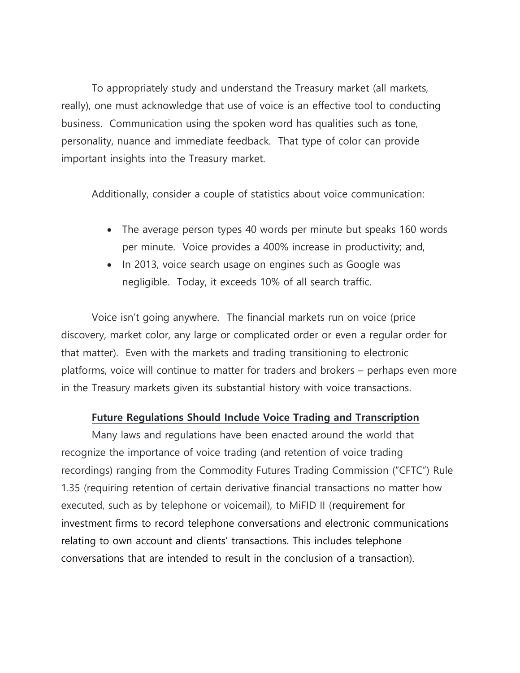To appropriately study and understand the Treasury market (all markets, really), one must acknowledge that use of voice is an effective tool to conducting business. Communication using the spoken word has qualities such as tone, personality, nuance and immediate feedback. That type of color can provide important insights into the Treasury market.

Additionally, consider a couple of statistics about voice communication:

- The average person types 40 words per minute but speaks 160 words per minute. Voice provides a 400% increase in productivity; and,
- In 2013, voice search usage on engines such as Google was negligible. Today, it exceeds 10% of all search traffic.

 Voice isn't going anywhere. The financial markets run on voice (price discovery, market color, any large or complicated order or even a regular order for that matter). Even with the markets and trading transitioning to electronic platforms, voice will continue to matter for traders and brokers – perhaps even more in the Treasury markets given its substantial history with voice transactions.

## Future Regulations Should Include Voice Trading and Transcription

 Many laws and regulations have been enacted around the world that recognize the importance of voice trading (and retention of voice trading recordings) ranging from the Commodity Futures Trading Commission ("CFTC") Rule 1.35 (requiring retention of certain derivative financial transactions no matter how executed, such as by telephone or voicemail), to MiFID II (requirement for investment firms to record telephone conversations and electronic communications relating to own account and clients' transactions. This includes telephone conversations that are intended to result in the conclusion of a transaction).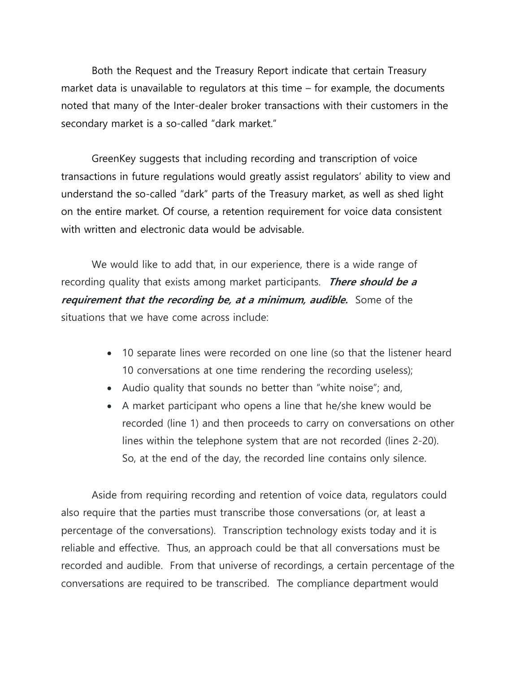Both the Request and the Treasury Report indicate that certain Treasury market data is unavailable to regulators at this time – for example, the documents noted that many of the Inter-dealer broker transactions with their customers in the secondary market is a so-called "dark market."

 GreenKey suggests that including recording and transcription of voice transactions in future regulations would greatly assist regulators' ability to view and understand the so-called "dark" parts of the Treasury market, as well as shed light on the entire market. Of course, a retention requirement for voice data consistent with written and electronic data would be advisable.

 We would like to add that, in our experience, there is a wide range of recording quality that exists among market participants. There should be a requirement that the recording be, at a minimum, audible. Some of the situations that we have come across include:

- 10 separate lines were recorded on one line (so that the listener heard 10 conversations at one time rendering the recording useless);
- Audio quality that sounds no better than "white noise"; and,
- A market participant who opens a line that he/she knew would be recorded (line 1) and then proceeds to carry on conversations on other lines within the telephone system that are not recorded (lines 2-20). So, at the end of the day, the recorded line contains only silence.

 Aside from requiring recording and retention of voice data, regulators could also require that the parties must transcribe those conversations (or, at least a percentage of the conversations). Transcription technology exists today and it is reliable and effective. Thus, an approach could be that all conversations must be recorded and audible. From that universe of recordings, a certain percentage of the conversations are required to be transcribed. The compliance department would